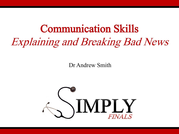# Communication Skills Explaining and Breaking Bad News

Dr Andrew Smith

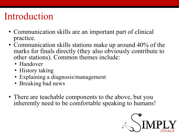#### Introduction

- Communication skills are an important part of clinical practice.
- Communication skills stations make up around 40% of the marks for finals directly (they also obviously contribute to other stations). Common themes include:
	- Handover
	- History taking
	- Explaining a diagnosis/management
	- Breaking bad news
- There are teachable components to the above, but you inherently need to be comfortable speaking to humans!

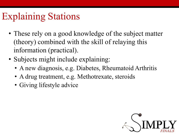### Explaining Stations

- These rely on a good knowledge of the subject matter (theory) combined with the skill of relaying this information (practical).
- Subjects might include explaining:
	- A new diagnosis, e.g. Diabetes, Rheumatoid Arthritis
	- A drug treatment, e.g. Methotrexate, steroids
	- Giving lifestyle advice

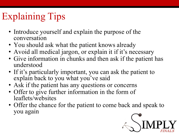## Explaining Tips

- Introduce yourself and explain the purpose of the conversation
- You should ask what the patient knows already
- Avoid all medical jargon, or explain it if it's necessary
- Give information in chunks and then ask if the patient has understood
- If it's particularly important, you can ask the patient to explain back to you what you've said
- Ask if the patient has any questions or concerns
- Offer to give further information in the form of leaflets/websites
- Offer the chance for the patient to come back and speak to you again

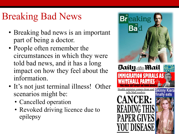## Breaking Bad News

- Breaking bad news is an important part of being a doctor.
- People often remember the circumstances in which they were told bad news, and it has a long impact on how they feel about the information.
- It's not just terminal illness! Other scenarios might be:
	- Cancelled operation
	- Revoked driving licence due to epilepsy

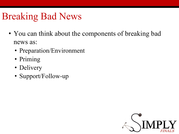## Breaking Bad News

- You can think about the components of breaking bad news as:
	- Preparation/Environment
	- Priming
	- Delivery
	- Support/Follow-up

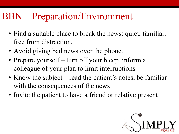#### BBN – Preparation/Environment

- Find a suitable place to break the news: quiet, familiar, free from distraction.
- Avoid giving bad news over the phone.
- Prepare yourself turn off your bleep, inform a colleague of your plan to limit interruptions
- Know the subject read the patient's notes, be familiar with the consequences of the news
- Invite the patient to have a friend or relative present

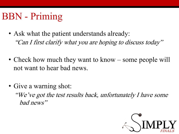## BBN - Priming

- Ask what the patient understands already: "Can I first clarify what you are hoping to discuss today"
- Check how much they want to know some people will not want to hear bad news.
- Give a warning shot:

"We've got the test results back, unfortunately I have some bad news"

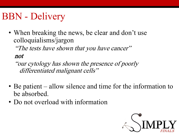## BBN - Delivery

• When breaking the news, be clear and don't use colloquialisms/jargon

"The tests have shown that you have cancer"

not

"our cytology has shown the presence of poorly differentiated malignant cells"

- Be patient allow silence and time for the information to be absorbed.
- Do not overload with information

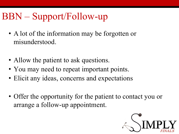## BBN – Support/Follow-up

- A lot of the information may be forgotten or misunderstood.
- Allow the patient to ask questions.
- You may need to repeat important points.
- Elicit any ideas, concerns and expectations
- Offer the opportunity for the patient to contact you or arrange a follow-up appointment.